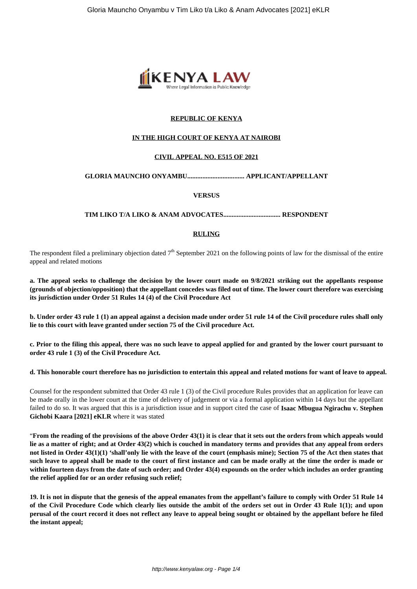

# **REPUBLIC OF KENYA**

# **IN THE HIGH COURT OF KENYA AT NAIROBI**

# **CIVIL APPEAL NO. E515 OF 2021**

# **GLORIA MAUNCHO ONYAMBU.................................. APPLICANT/APPELLANT**

### **VERSUS**

**TIM LIKO T/A LIKO & ANAM ADVOCATES.................................. RESPONDENT**

# **RULING**

The respondent filed a preliminary objection dated  $7<sup>th</sup>$  September 2021 on the following points of law for the dismissal of the entire appeal and related motions

**a. The appeal seeks to challenge the decision by the lower court made on 9/8/2021 striking out the appellants response (grounds of objection/opposition) that the appellant concedes was filed out of time. The lower court therefore was exercising its jurisdiction under Order 51 Rules 14 (4) of the Civil Procedure Act**

**b. Under order 43 rule 1 (1) an appeal against a decision made under order 51 rule 14 of the Civil procedure rules shall only lie to this court with leave granted under section 75 of the Civil procedure Act.**

**c. Prior to the filing this appeal, there was no such leave to appeal applied for and granted by the lower court pursuant to order 43 rule 1 (3) of the Civil Procedure Act.**

#### **d. This honorable court therefore has no jurisdiction to entertain this appeal and related motions for want of leave to appeal.**

Counsel for the respondent submitted that Order 43 rule 1 (3) of the Civil procedure Rules provides that an application for leave can be made orally in the lower court at the time of delivery of judgement or via a formal application within 14 days but the appellant failed to do so. It was argued that this is a jurisdiction issue and in support cited the case of **Isaac Mbugua Ngirachu v. Stephen Gichobi Kaara [2021] eKLR** where it was stated

"**From the reading of the provisions of the above Order 43(1) it is clear that it sets out the orders from which appeals would lie as a matter of right; and at Order 43(2) which is couched in mandatory terms and provides that any appeal from orders not listed in Order 43(1)(1) 'shall'only lie with the leave of the court (emphasis mine); Section 75 of the Act then states that such leave to appeal shall be made to the court of first instance and can be made orally at the time the order is made or within fourteen days from the date of such order; and Order 43(4) expounds on the order which includes an order granting the relief applied for or an order refusing such relief;**

**19. It is not in dispute that the genesis of the appeal emanates from the appellant's failure to comply with Order 51 Rule 14 of the Civil Procedure Code which clearly lies outside the ambit of the orders set out in Order 43 Rule 1(1); and upon perusal of the court record it does not reflect any leave to appeal being sought or obtained by the appellant before he filed the instant appeal;**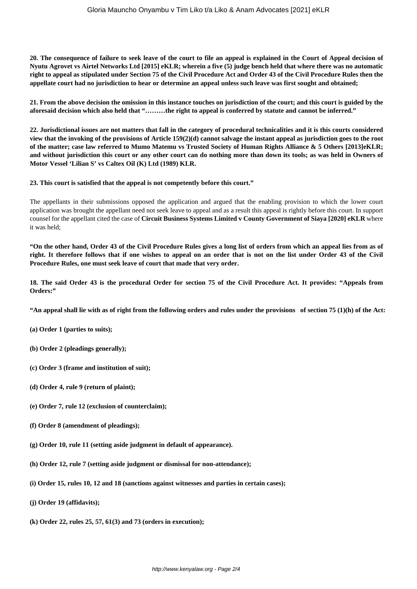**20. The consequence of failure to seek leave of the court to file an appeal is explained in the Court of Appeal decision of Nyutu Agrovet vs Airtel Networks Ltd [2015] eKLR; wherein a five (5) judge bench held that where there was no automatic right to appeal as stipulated under Section 75 of the Civil Procedure Act and Order 43 of the Civil Procedure Rules then the appellate court had no jurisdiction to hear or determine an appeal unless such leave was first sought and obtained;**

**21. From the above decision the omission in this instance touches on jurisdiction of the court; and this court is guided by the aforesaid decision which also held that "………the right to appeal is conferred by statute and cannot be inferred."**

**22. Jurisdictional issues are not matters that fall in the category of procedural technicalities and it is this courts considered view that the invoking of the provisions of Article 159(2)(d) cannot salvage the instant appeal as jurisdiction goes to the root of the matter; case law referred to Mumo Matemu vs Trusted Society of Human Rights Alliance & 5 Others [2013]eKLR; and without jurisdiction this court or any other court can do nothing more than down its tools; as was held in Owners of Motor Vessel 'Lilian S' vs Caltex Oil (K) Ltd (1989) KLR.**

**23. This court is satisfied that the appeal is not competently before this court."**

The appellants in their submissions opposed the application and argued that the enabling provision to which the lower court application was brought the appellant need not seek leave to appeal and as a result this appeal is rightly before this court. In support counsel for the appellant cited the case of **Circuit Business Systems Limited v County Government of Siaya [2020] eKLR** where it was held;

**"On the other hand, Order 43 of the Civil Procedure Rules gives a long list of orders from which an appeal lies from as of right. It therefore follows that if one wishes to appeal on an order that is not on the list under Order 43 of the Civil Procedure Rules, one must seek leave of court that made that very order.**

**18. The said Order 43 is the procedural Order for section 75 of the Civil Procedure Act. It provides: "Appeals from Orders:"**

**"An appeal shall lie with as of right from the following orders and rules under the provisions of section 75 (1)(h) of the Act:**

- **(a) Order 1 (parties to suits);**
- **(b) Order 2 (pleadings generally);**
- **(c) Order 3 (frame and institution of suit);**
- **(d) Order 4, rule 9 (return of plaint);**
- **(e) Order 7, rule 12 (exclusion of counterclaim);**
- **(f) Order 8 (amendment of pleadings);**
- **(g) Order 10, rule 11 (setting aside judgment in default of appearance).**
- **(h) Order 12, rule 7 (setting aside judgment or dismissal for non-attendance);**
- **(i) Order 15, rules 10, 12 and 18 (sanctions against witnesses and parties in certain cases);**
- **(j) Order 19 (affidavits);**
- **(k) Order 22, rules 25, 57, 61(3) and 73 (orders in execution);**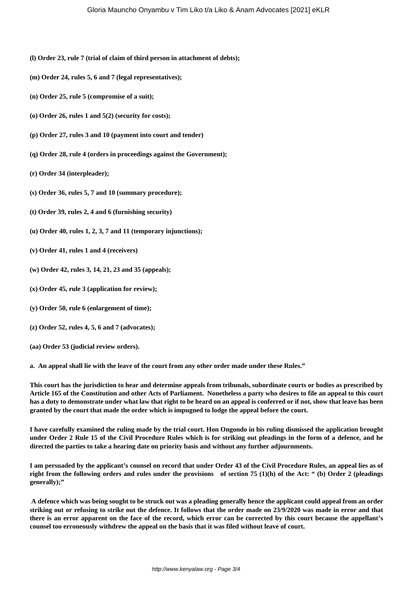- **(l) Order 23, rule 7 (trial of claim of third person in attachment of debts);**
- **(m) Order 24, rules 5, 6 and 7 (legal representatives);**
- **(n) Order 25, rule 5 (compromise of a suit);**
- **(o) Order 26, rules 1 and 5(2) (security for costs);**
- **(p) Order 27, rules 3 and 10 (payment into court and tender)**
- **(q) Order 28, rule 4 (orders in proceedings against the Government);**
- **(r) Order 34 (interpleader);**
- **(s) Order 36, rules 5, 7 and 10 (summary procedure);**
- **(t) Order 39, rules 2, 4 and 6 (furnishing security)**
- **(u) Order 40, rules 1, 2, 3, 7 and 11 (temporary injunctions);**
- **(v) Order 41, rules 1 and 4 (receivers)**
- **(w) Order 42, rules 3, 14, 21, 23 and 35 (appeals);**
- **(x) Order 45, rule 3 (application for review);**
- **(y) Order 50, rule 6 (enlargement of time);**
- **(z) Order 52, rules 4, 5, 6 and 7 (advocates);**
- **(aa) Order 53 (judicial review orders).**

**a. An appeal shall lie with the leave of the court from any other order made under these Rules."**

**This court has the jurisdiction to hear and determine appeals from tribunals, subordinate courts or bodies as prescribed by Article 165 of the Constitution and other Acts of Parliament. Nonetheless a party who desires to file an appeal to this court has a duty to demonstrate under what law that right to be heard on an appeal is conferred or if not, show that leave has been granted by the court that made the order which is impugned to lodge the appeal before the court.**

**I have carefully examined the ruling made by the trial court. Hon Ongondo in his ruling dismissed the application brought under Order 2 Rule 15 of the Civil Procedure Rules which is for striking out pleadings in the form of a defence, and he directed the parties to take a hearing date on priority basis and without any further adjournments.**

**I am persuaded by the applicant's counsel on record that under Order 43 of the Civil Procedure Rules, an appeal lies as of right from the following orders and rules under the provisions of section 75 (1)(h) of the Act: " (b) Order 2 (pleadings generally);"**

**A defence which was being sought to be struck out was a pleading generally hence the applicant could appeal from an order striking out or refusing to strike out the defence. It follows that the order made on 23/9/2020 was made in error and that there is an error apparent on the face of the record, which error can be corrected by this court because the appellant's counsel too erroneously withdrew the appeal on the basis that it was filed without leave of court.**